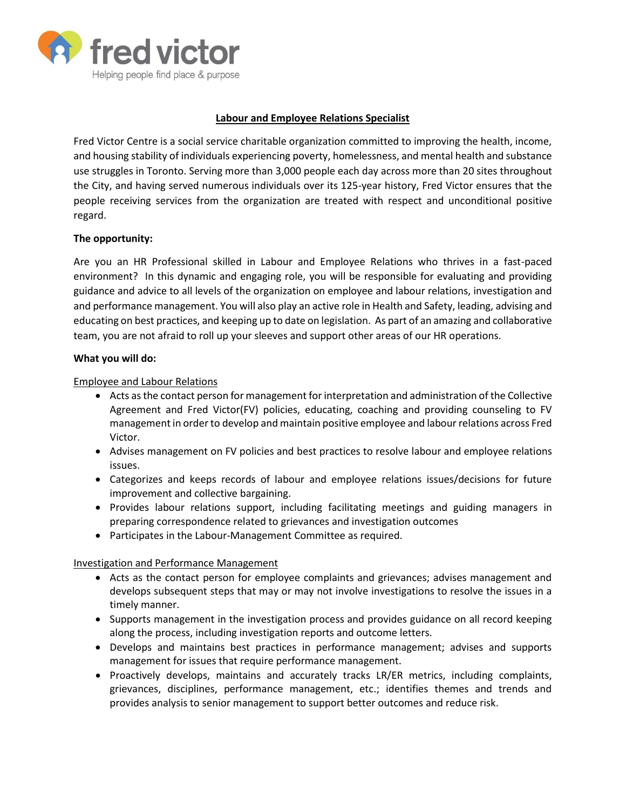

# **Labour and Employee Relations Specialist**

Fred Victor Centre is a social service charitable organization committed to improving the health, income, and housing stability of individuals experiencing poverty, homelessness, and mental health and substance use struggles in Toronto. Serving more than 3,000 people each day across more than 20 sites throughout the City, and having served numerous individuals over its 125-year history, Fred Victor ensures that the people receiving services from the organization are treated with respect and unconditional positive regard.

## **The opportunity:**

Are you an HR Professional skilled in Labour and Employee Relations who thrives in a fast-paced environment? In this dynamic and engaging role, you will be responsible for evaluating and providing guidance and advice to all levels of the organization on employee and labour relations, investigation and and performance management. You will also play an active role in Health and Safety, leading, advising and educating on best practices, and keeping up to date on legislation. As part of an amazing and collaborative team, you are not afraid to roll up your sleeves and support other areas of our HR operations.

#### **What you will do:**

#### Employee and Labour Relations

- Acts as the contact person for management for interpretation and administration of the Collective Agreement and Fred Victor(FV) policies, educating, coaching and providing counseling to FV management in order to develop and maintain positive employee and labour relations across Fred Victor.
- Advises management on FV policies and best practices to resolve labour and employee relations issues.
- Categorizes and keeps records of labour and employee relations issues/decisions for future improvement and collective bargaining.
- Provides labour relations support, including facilitating meetings and guiding managers in preparing correspondence related to grievances and investigation outcomes
- Participates in the Labour-Management Committee as required.

## Investigation and Performance Management

- Acts as the contact person for employee complaints and grievances; advises management and develops subsequent steps that may or may not involve investigations to resolve the issues in a timely manner.
- Supports management in the investigation process and provides guidance on all record keeping along the process, including investigation reports and outcome letters.
- Develops and maintains best practices in performance management; advises and supports management for issues that require performance management.
- Proactively develops, maintains and accurately tracks LR/ER metrics, including complaints, grievances, disciplines, performance management, etc.; identifies themes and trends and provides analysis to senior management to support better outcomes and reduce risk.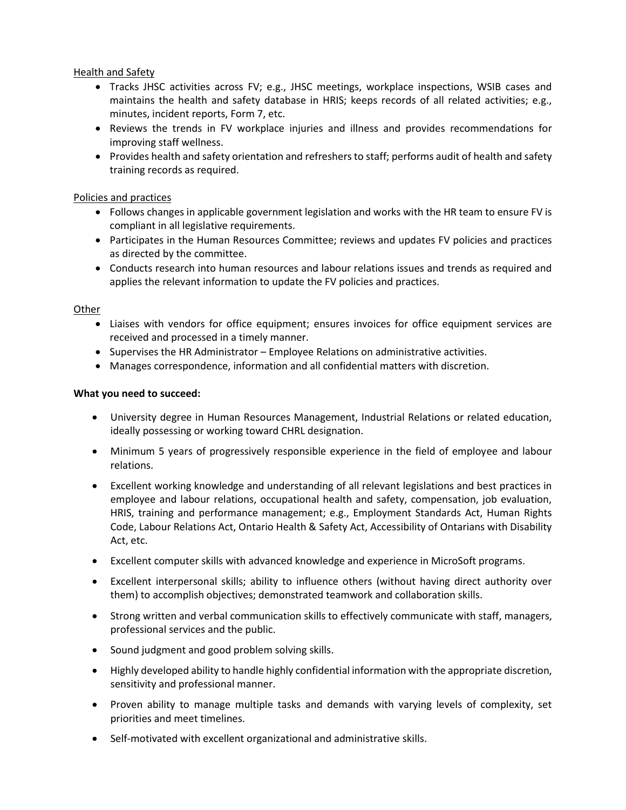## Health and Safety

- Tracks JHSC activities across FV; e.g., JHSC meetings, workplace inspections, WSIB cases and maintains the health and safety database in HRIS; keeps records of all related activities; e.g., minutes, incident reports, Form 7, etc.
- Reviews the trends in FV workplace injuries and illness and provides recommendations for improving staff wellness.
- Provides health and safety orientation and refreshers to staff; performs audit of health and safety training records as required.

# Policies and practices

- Follows changes in applicable government legislation and works with the HR team to ensure FV is compliant in all legislative requirements.
- Participates in the Human Resources Committee; reviews and updates FV policies and practices as directed by the committee.
- Conducts research into human resources and labour relations issues and trends as required and applies the relevant information to update the FV policies and practices.

# **Other**

- Liaises with vendors for office equipment; ensures invoices for office equipment services are received and processed in a timely manner.
- Supervises the HR Administrator Employee Relations on administrative activities.
- Manages correspondence, information and all confidential matters with discretion.

# **What you need to succeed:**

- University degree in Human Resources Management, Industrial Relations or related education, ideally possessing or working toward CHRL designation.
- Minimum 5 years of progressively responsible experience in the field of employee and labour relations.
- Excellent working knowledge and understanding of all relevant legislations and best practices in employee and labour relations, occupational health and safety, compensation, job evaluation, HRIS, training and performance management; e.g., Employment Standards Act, Human Rights Code, Labour Relations Act, Ontario Health & Safety Act, Accessibility of Ontarians with Disability Act, etc.
- Excellent computer skills with advanced knowledge and experience in MicroSoft programs.
- Excellent interpersonal skills; ability to influence others (without having direct authority over them) to accomplish objectives; demonstrated teamwork and collaboration skills.
- Strong written and verbal communication skills to effectively communicate with staff, managers, professional services and the public.
- Sound judgment and good problem solving skills.
- Highly developed ability to handle highly confidential information with the appropriate discretion, sensitivity and professional manner.
- Proven ability to manage multiple tasks and demands with varying levels of complexity, set priorities and meet timelines.
- Self-motivated with excellent organizational and administrative skills.